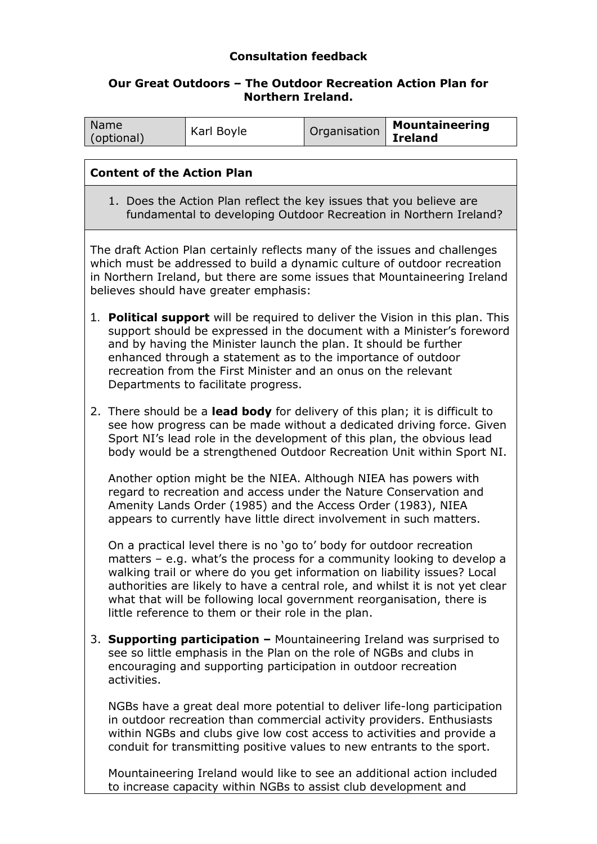# **Consultation feedback**

#### **Our Great Outdoors – The Outdoor Recreation Action Plan for Northern Ireland.**

| Name<br>(optional)                                                                                                                                                                                                                                                                                                                                                                                              |                                                                                                                                                                                                                                                                                                          | Karl Boyle                                                                                                                                                                                                                                                                                            | Organisation | <b>Mountaineering</b><br><b>Ireland</b>                                                                                                                   |  |
|-----------------------------------------------------------------------------------------------------------------------------------------------------------------------------------------------------------------------------------------------------------------------------------------------------------------------------------------------------------------------------------------------------------------|----------------------------------------------------------------------------------------------------------------------------------------------------------------------------------------------------------------------------------------------------------------------------------------------------------|-------------------------------------------------------------------------------------------------------------------------------------------------------------------------------------------------------------------------------------------------------------------------------------------------------|--------------|-----------------------------------------------------------------------------------------------------------------------------------------------------------|--|
|                                                                                                                                                                                                                                                                                                                                                                                                                 |                                                                                                                                                                                                                                                                                                          |                                                                                                                                                                                                                                                                                                       |              |                                                                                                                                                           |  |
| <b>Content of the Action Plan</b>                                                                                                                                                                                                                                                                                                                                                                               |                                                                                                                                                                                                                                                                                                          |                                                                                                                                                                                                                                                                                                       |              |                                                                                                                                                           |  |
| 1. Does the Action Plan reflect the key issues that you believe are<br>fundamental to developing Outdoor Recreation in Northern Ireland?                                                                                                                                                                                                                                                                        |                                                                                                                                                                                                                                                                                                          |                                                                                                                                                                                                                                                                                                       |              |                                                                                                                                                           |  |
| The draft Action Plan certainly reflects many of the issues and challenges<br>which must be addressed to build a dynamic culture of outdoor recreation<br>in Northern Ireland, but there are some issues that Mountaineering Ireland<br>believes should have greater emphasis:                                                                                                                                  |                                                                                                                                                                                                                                                                                                          |                                                                                                                                                                                                                                                                                                       |              |                                                                                                                                                           |  |
| <b>Political support</b> will be required to deliver the Vision in this plan. This<br>1.<br>support should be expressed in the document with a Minister's foreword<br>and by having the Minister launch the plan. It should be further<br>enhanced through a statement as to the importance of outdoor<br>recreation from the First Minister and an onus on the relevant<br>Departments to facilitate progress. |                                                                                                                                                                                                                                                                                                          |                                                                                                                                                                                                                                                                                                       |              |                                                                                                                                                           |  |
|                                                                                                                                                                                                                                                                                                                                                                                                                 | 2. There should be a lead body for delivery of this plan; it is difficult to<br>see how progress can be made without a dedicated driving force. Given<br>Sport NI's lead role in the development of this plan, the obvious lead<br>body would be a strengthened Outdoor Recreation Unit within Sport NI. |                                                                                                                                                                                                                                                                                                       |              |                                                                                                                                                           |  |
|                                                                                                                                                                                                                                                                                                                                                                                                                 |                                                                                                                                                                                                                                                                                                          | Another option might be the NIEA. Although NIEA has powers with<br>regard to recreation and access under the Nature Conservation and<br>Amenity Lands Order (1985) and the Access Order (1983), NIEA<br>appears to currently have little direct involvement in such matters.                          |              |                                                                                                                                                           |  |
|                                                                                                                                                                                                                                                                                                                                                                                                                 |                                                                                                                                                                                                                                                                                                          | On a practical level there is no 'go to' body for outdoor recreation<br>walking trail or where do you get information on liability issues? Local<br>what that will be following local government reorganisation, there is<br>little reference to them or their role in the plan.                      |              | matters $-$ e.g. what's the process for a community looking to develop a<br>authorities are likely to have a central role, and whilst it is not yet clear |  |
|                                                                                                                                                                                                                                                                                                                                                                                                                 | 3. Supporting participation - Mountaineering Ireland was surprised to<br>see so little emphasis in the Plan on the role of NGBs and clubs in<br>encouraging and supporting participation in outdoor recreation<br>activities.                                                                            |                                                                                                                                                                                                                                                                                                       |              |                                                                                                                                                           |  |
|                                                                                                                                                                                                                                                                                                                                                                                                                 |                                                                                                                                                                                                                                                                                                          | NGBs have a great deal more potential to deliver life-long participation<br>in outdoor recreation than commercial activity providers. Enthusiasts<br>within NGBs and clubs give low cost access to activities and provide a<br>conduit for transmitting positive values to new entrants to the sport. |              |                                                                                                                                                           |  |
|                                                                                                                                                                                                                                                                                                                                                                                                                 |                                                                                                                                                                                                                                                                                                          |                                                                                                                                                                                                                                                                                                       |              |                                                                                                                                                           |  |

Mountaineering Ireland would like to see an additional action included to increase capacity within NGBs to assist club development and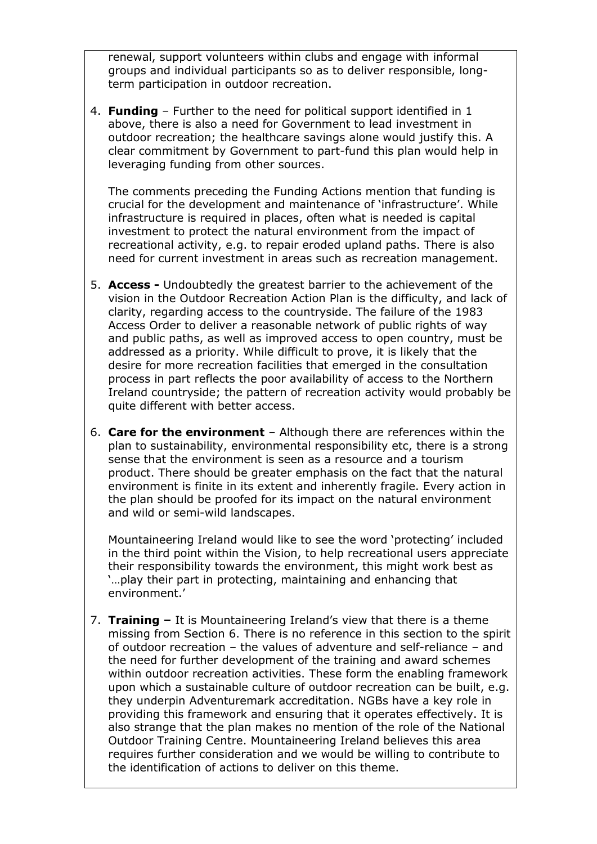renewal, support volunteers within clubs and engage with informal groups and individual participants so as to deliver responsible, longterm participation in outdoor recreation.

4. **Funding** – Further to the need for political support identified in 1 above, there is also a need for Government to lead investment in outdoor recreation; the healthcare savings alone would justify this. A clear commitment by Government to part-fund this plan would help in leveraging funding from other sources.

The comments preceding the Funding Actions mention that funding is crucial for the development and maintenance of 'infrastructure'. While infrastructure is required in places, often what is needed is capital investment to protect the natural environment from the impact of recreational activity, e.g. to repair eroded upland paths. There is also need for current investment in areas such as recreation management.

- 5. **Access -** Undoubtedly the greatest barrier to the achievement of the vision in the Outdoor Recreation Action Plan is the difficulty, and lack of clarity, regarding access to the countryside. The failure of the 1983 Access Order to deliver a reasonable network of public rights of way and public paths, as well as improved access to open country, must be addressed as a priority. While difficult to prove, it is likely that the desire for more recreation facilities that emerged in the consultation process in part reflects the poor availability of access to the Northern Ireland countryside; the pattern of recreation activity would probably be quite different with better access.
- 6. **Care for the environment** Although there are references within the plan to sustainability, environmental responsibility etc, there is a strong sense that the environment is seen as a resource and a tourism product. There should be greater emphasis on the fact that the natural environment is finite in its extent and inherently fragile. Every action in the plan should be proofed for its impact on the natural environment and wild or semi-wild landscapes.

Mountaineering Ireland would like to see the word 'protecting' included in the third point within the Vision, to help recreational users appreciate their responsibility towards the environment, this might work best as '…play their part in protecting, maintaining and enhancing that environment.'

7. **Training –** It is Mountaineering Ireland's view that there is a theme missing from Section 6. There is no reference in this section to the spirit of outdoor recreation – the values of adventure and self-reliance – and the need for further development of the training and award schemes within outdoor recreation activities. These form the enabling framework upon which a sustainable culture of outdoor recreation can be built, e.g. they underpin Adventuremark accreditation. NGBs have a key role in providing this framework and ensuring that it operates effectively. It is also strange that the plan makes no mention of the role of the National Outdoor Training Centre. Mountaineering Ireland believes this area requires further consideration and we would be willing to contribute to the identification of actions to deliver on this theme.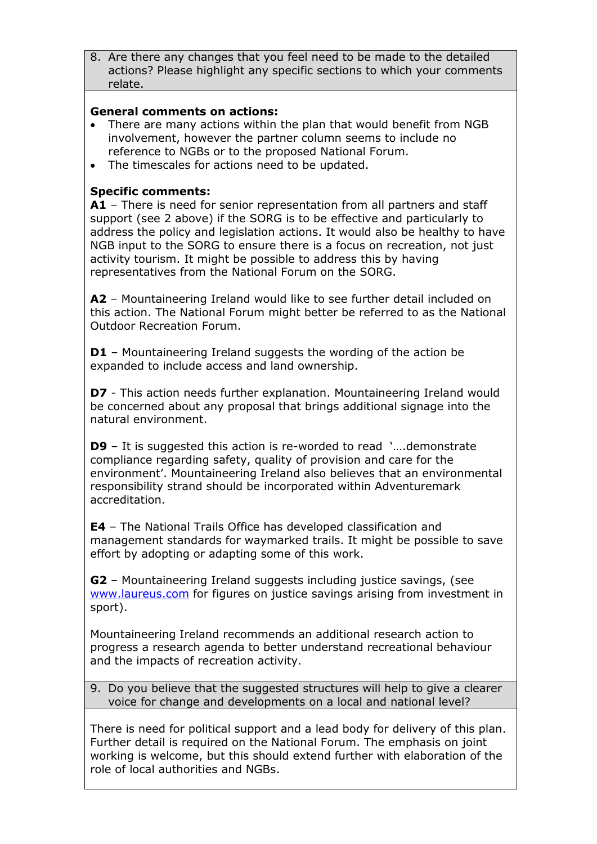8. Are there any changes that you feel need to be made to the detailed actions? Please highlight any specific sections to which your comments relate.

## **General comments on actions:**

- There are many actions within the plan that would benefit from NGB involvement, however the partner column seems to include no reference to NGBs or to the proposed National Forum.
- The timescales for actions need to be updated.

# **Specific comments:**

**A1** – There is need for senior representation from all partners and staff support (see 2 above) if the SORG is to be effective and particularly to address the policy and legislation actions. It would also be healthy to have NGB input to the SORG to ensure there is a focus on recreation, not just activity tourism. It might be possible to address this by having representatives from the National Forum on the SORG.

**A2** – Mountaineering Ireland would like to see further detail included on this action. The National Forum might better be referred to as the National Outdoor Recreation Forum.

**D1** – Mountaineering Ireland suggests the wording of the action be expanded to include access and land ownership.

**D7** - This action needs further explanation. Mountaineering Ireland would be concerned about any proposal that brings additional signage into the natural environment.

**D9** – It is suggested this action is re-worded to read '..., demonstrate compliance regarding safety, quality of provision and care for the environment'. Mountaineering Ireland also believes that an environmental responsibility strand should be incorporated within Adventuremark accreditation.

**E4** – The National Trails Office has developed classification and management standards for waymarked trails. It might be possible to save effort by adopting or adapting some of this work.

**G2** – Mountaineering Ireland suggests including justice savings, (see [www.laureus.com](http://www.laureus.com/) for figures on justice savings arising from investment in sport).

Mountaineering Ireland recommends an additional research action to progress a research agenda to better understand recreational behaviour and the impacts of recreation activity.

9. Do you believe that the suggested structures will help to give a clearer voice for change and developments on a local and national level?

There is need for political support and a lead body for delivery of this plan. Further detail is required on the National Forum. The emphasis on joint working is welcome, but this should extend further with elaboration of the role of local authorities and NGBs.